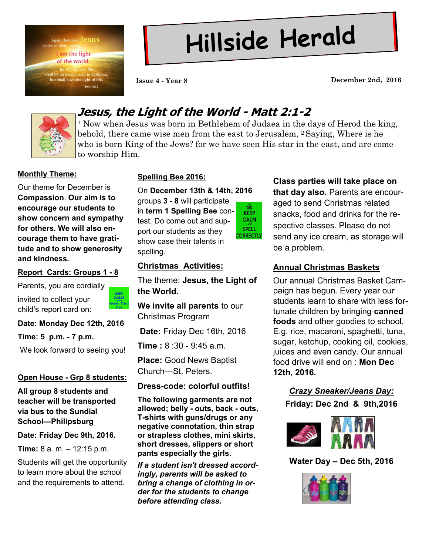

# **Hillside Herald**

**Issue 4 - Year 8 December 2nd, 2016**



## **Jesus, the Light of the World - Matt 2:1-2**

<sup>1</sup> Now when Jesus was born in Bethlehem of Judaea in the days of Herod the king, behold, there came wise men from the east to Jerusalem, <sup>2</sup> Saying, Where is he who is born King of the Jews? for we have seen His star in the east, and are come to worship Him.

#### **Monthly Theme:**

Our theme for December is **Compassion**. **Our aim is to encourage our students to show concern and sympathy for others. We will also encourage them to have gratitude and to show generosity and kindness.**

#### **Report Cards: Groups 1 - 8**

Parents, you are cordially

invited to collect your child's report card on:



#### **Date: Monday Dec 12th, 2016**

**Time: 5 p.m. - 7 p.m.**

We look forward to seeing you!

#### **Open House - Grp 8 students:**

**All group 8 students and teacher will be transported via bus to the Sundial School—Philipsburg** 

#### **Date: Friday Dec 9th, 2016.**

**Time:** 8 a. m. – 12:15 p.m.

Students will get the opportunity to learn more about the school and the requirements to attend.

### **Spelling Bee 2016:**

On **December 13th & 14th, 2016** 

groups **3 - 8** will participate in **term 1 Spelling Bee** contest. Do come out and support our students as they show case their talents in spelling.

⊕ **KEEP CALM SPELL CORRECTLY** 

#### **Christmas Activities:**

The theme: **Jesus, the Light of the World.**

**We invite all parents** to our Christmas Program

**Date:** Friday Dec 16th, 2016

**Time :** 8 :30 - 9:45 a.m.

**Place:** Good News Baptist Church—St. Peters.

### **Dress-code: colorful outfits!**

**The following garments are not allowed; belly - outs, back - outs, T-shirts with guns/drugs or any negative connotation, thin strap or strapless clothes, mini skirts, short dresses, slippers or short pants especially the girls.**

*If a student isn't dressed accordingly, parents will be asked to bring a change of clothing in order for the students to change before attending class.*

### **Class parties will take place on**

**that day also.** Parents are encouraged to send Christmas related snacks, food and drinks for the respective classes. Please do not send any ice cream, as storage will be a problem.

### **Annual Christmas Baskets**

Our annual Christmas Basket Campaign has begun. Every year our students learn to share with less fortunate children by bringing **canned foods** and other goodies to school. E.g. rice, macaroni, spaghetti, tuna, sugar, ketchup, cooking oil, cookies, juices and even candy. Our annual food drive will end on : **Mon Dec 12th, 2016.**

## *Crazy Sneaker/Jeans Day:* **Friday: Dec 2nd & 9th,2016**



**Water Day – Dec 5th, 2016**